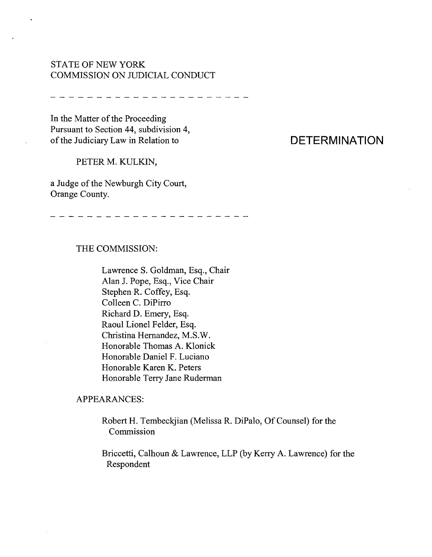## STATE OF NEW YORK COMMISSION ON JUDICIAL CONDUCT

In the Matter of the Proceeding Pursuant to Section 44, subdivision 4, of the Judiciary Law in Relation to

#### PETER M. KULKIN,

a Judge of the Newburgh City Court, Orange County.

- - - - - - - - - - - - - - - - - -

## THE COMMISSION:

Lawrence S. Goldman, Esq., Chair Alan J. Pope, Esq., Vice Chair Stephen R. Coffey, Esq. Colleen C. DiPirro Richard D. Emery, Esq. Raoul Lionel Felder, Esq. Christina Hernandez, M.S.W. Honorable Thomas A. Klonick Honorable Daniel F. Luciano Honorable Karen K. Peters Honorable Terry Jane Ruderman

### APPEARANCES:

Robert H. Tembeckjian (Melissa R. DiPalo, Of Counsel) for the Commission

Briccetti, Calhoun & Lawrence, LLP (by Kerry A. Lawrence) for the Respondent

# **DETERMINATION**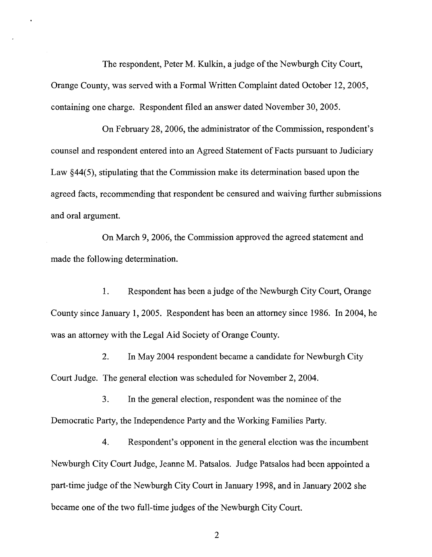The respondent, Peter M. Kulkin, a judge of the Newburgh City Court, Orange County, was served with a Formal Written Complaint dated October 12, 2005, containing one charge. Respondent filed an answer dated November 30,2005.

On February 28, 2006, the administrator of the Commission, respondent's counsel and respondent entered into an Agreed Statement of Facts pursuant to Judiciary Law  $§44(5)$ , stipulating that the Commission make its determination based upon the agreed facts, recommending that respondent be censured and waiving further submissions and oral argument.

On March 9, 2006, the Commission approved the agreed statement and made the following determination.

1. Respondent has been a judge of the Newburgh City Court, Orange County since January 1, 2005. Respondent has been an attorney since 1986. In 2004, he was an attorney with the Legal Aid Society of Orange County.

2. In May 2004 respondent became a candidate for Newburgh City Court Judge. The general election was scheduled for November 2, 2004.

3. In the general election, respondent was the nominee of the Democratic Party, the Independence Party and the Working Families Party.

4. Respondent's opponent in the general election was the incumbent Newburgh City Court Judge, Jeanne M. Patsalos. Judge Patsalos had been appointed a part-time judge of the Newburgh City Court in January 1998, and in January 2002 she became one of the two full-time judges of the Newburgh City Court.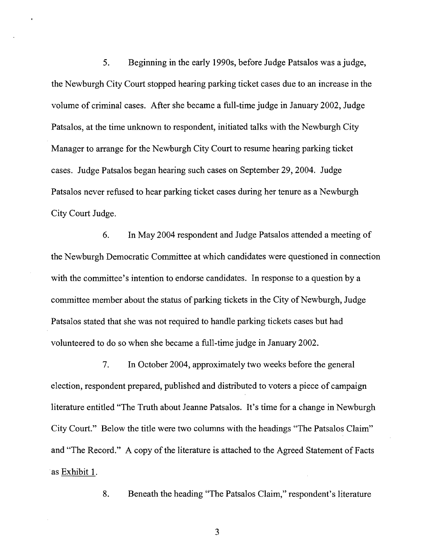5. Beginning in the early 1990s, before Judge Patsalos was a judge, the Newburgh City Court stopped hearing parking ticket cases due to an increase in the volume of criminal cases. After she became a full-time judge in January 2002, Judge Patsalos, at the time unknown to respondent, initiated talks with the Newburgh City Manager to arrange for the Newburgh City Court to resume hearing parking ticket cases. Judge Patsalos began hearing such cases on September 29,2004. Judge Patsalos never refused to hear parking ticket cases during her tenure as a Newburgh City Court Judge.

6. In May 2004 respondent and Judge Patsalos attended a meeting of the Newburgh Democratic Committee at which candidates were questioned in connection with the committee's intention to endorse candidates. In response to a question by a committee member about the status of parking tickets in the City of Newburgh, Judge Patsalos stated that she was not required to handle parking tickets cases but had volunteered to do so when she became a full-time judge in January 2002.

7. In October 2004, approximately two weeks before the general election, respondent prepared, published and distributed to voters a piece of campaign literature entitled "The Truth about Jeanne Patsalos. It's time for a change in Newburgh City Court." Below the title were two columns with the headings "The Patsalos Claim" and "The Record." A copy of the literature is attached to the Agreed Statement of Facts .as Exhibit 1.

8. Beneath the heading "The Patsalos Claim," respondent's literature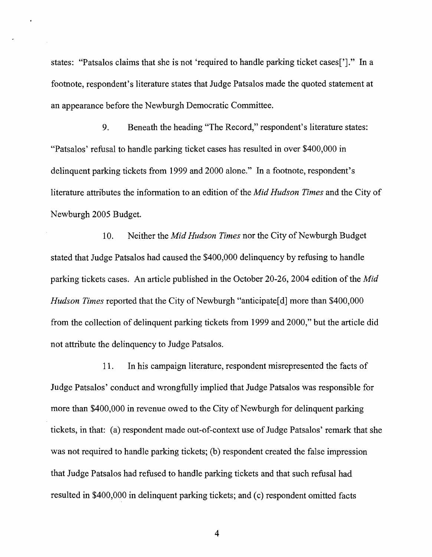states: "Patsalos claims that she is not 'required to handle parking ticket cases[']." In a footnote, respondent's literature states that Judge Patsalos made the quoted statement at an appearance before the Newburgh Democratic Committee.

9. Beneath the heading "The Record," respondent's literature states: "Patsalos' refusal to handle parking ticket cases has resulted in over \$400,000 in delinquent parking tickets from 1999 and 2000 alone." In a footnote, respondent's literature attributes the information to an edition of the *Mid Hudson Times* and the City of Newburgh 2005 Budget.

10. Neither the *Mid Hudson Times* nor the City of Newburgh Budget stated that Judge Patsalos had caused the \$400,000 delinquency by refusing to handle parking tickets cases. An article published in the October 20-26, 2004 edition of the *Mid Hudson Times* reported that the City of Newburgh "anticipate<sup>[d]</sup> more than \$400,000 from the collection of delinquent parking tickets from 1999 and 2000," but the article did not attribute the delinquency to Judge Patsalos.

11. In his campaign literature, respondent misrepresented the facts of Judge Patsalos' conduct and wrongfully implied that Judge Patsalos was responsible for more than \$400,000 in revenue owed to the City of Newburgh for delinquent parking tickets, in that: (a) respondent made out-of-context use of Judge Patsalos' remark that she was not required to handle parking tickets; (b) respondent created the false impression that Judge Patsalos had refused to handle parking tickets and that such refusal had resulted in \$400,000 in delinquent parking tickets; and (c) respondent omitted facts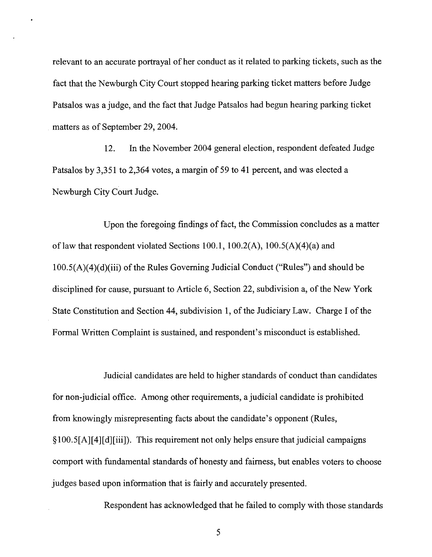relevant to an accurate portrayal of her conduct as it related to parking tickets, such as the fact that the Newburgh City Court stopped hearing parking ticket matters before Judge Patsalos was a judge, and the fact that Judge Patsalos had begun hearing parking ticket matters as of September 29, 2004.

12. In the November 2004 general election, respondent defeated Judge Patsalos by 3,351 to 2,364 votes, a margin of 59 to 41 percent, and was elected a Newburgh City Court Judge.

Upon the foregoing findings of fact, the Commission concludes as a matter of law that respondent violated Sections 100.1, 100.2(A),  $100.5(A)(4)(a)$  and  $100.5(A)(4)(d)(iii)$  of the Rules Governing Judicial Conduct ("Rules") and should be disciplined for cause, pursuant to Article 6, Section 22, subdivision a, of the New York State Constitution and Section 44, subdivision 1, of the Judiciary Law. Charge I of the Formal Written Complaint is sustained, and respondent's misconduct is established.

Judicial candidates are held to higher standards of conduct than candidates for non-judicial office. Among other requirements, a judicial candidate is prohibited from knowingly misrepresenting facts about the candidate's opponent (Rules, §100.5[A][4][d][iiiJ). This requirement not only helps ensure that judicial campaigns comport with fundamental standards of honesty and fairness, but enables voters to choose judges based upon information that is fairly and accurately presented.

Respondent has acknowledged that he failed to comply with those standards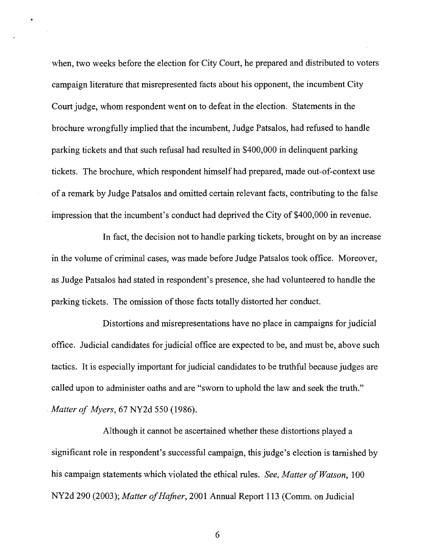when, two weeks before the election for City Court, he prepared and distributed to voters campaign literature that misrepresented facts about his opponent, the incumbent City Court judge, whom respondent went on to defeat in the election. Statements in the brochure wrongfully implied that the incumbent, Judge Patsalos, had refused to handle parking tickets and that such refusal had resulted in \$400,000 in delinquent parking tickets. The brochure, which respondent himself had prepared, made out-of-context use of a remark by Judge Patsalos and omitted certain relevant facts, contributing to the false impression that the incumbent's conduct had deprived the City of \$400,000 in revenue.

In fact, the decision not to handle parking tickets, brought on by an increase in the volume of criminal cases, was made before Judge Patsalos took office. Moreover, as Judge Patsalos had stated in respondent's presence, she had volunteered to handle the parking tickets. The omission of those facts totally distorted her conduct.

Distortions and misrepresentations have no place in campaigns for judicial office. Judicial candidates for judicial office are expected to be, and must be, above such tactics. It is especially important for judicial candidates to be truthful because judges are called upon to administer oaths and are "sworn to uphold the law and seek the truth." *. Matter of Myers,* 67 NY2d 550 (1986).

Although it cannot be ascertained whether these distortions played a significant role in respondent's successful campaign, this judge's election is tarnished by his campaign statements which violated the ethical rules. *See, Matter of Watson*, 100 NY2d 290 (2003); *Matter of Hafner*, 2001 Annual Report 113 (Comm. on Judicial